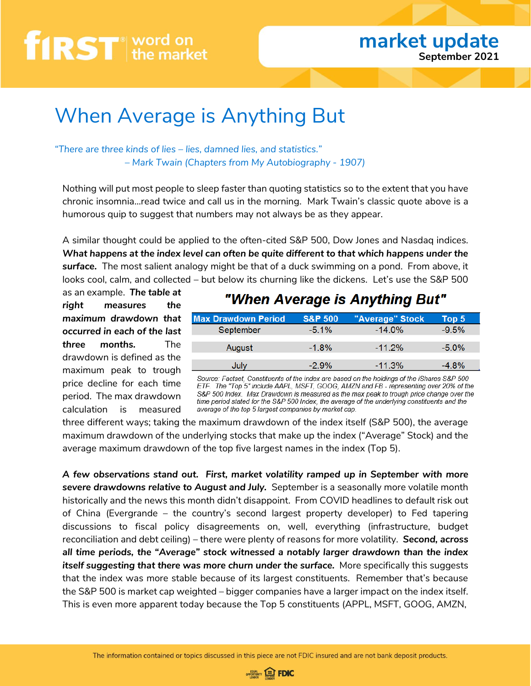### When Average is Anything But

*"There are three kinds of lies – lies, damned lies, and statistics." – Mark Twain (Chapters from My Autobiography - 1907)*

Nothing will put most people to sleep faster than quoting statistics so to the extent that you have chronic insomnia…read twice and call us in the morning. Mark Twain's classic quote above is a humorous quip to suggest that numbers may not always be as they appear.

A similar thought could be applied to the often-cited S&P 500, Dow Jones and Nasdaq indices. *What happens at the index level can often be quite different to that which happens under the surface.* The most salient analogy might be that of a duck swimming on a pond. From above, it looks cool, calm, and collected – but below its churning like the dickens. Let's use the S&P 500

as an example. *The table at right measures the maximum drawdown that occurred in each of the last three months.* The drawdown is defined as the maximum peak to trough price decline for each time period. The max drawdown calculation is measured

### "When Average is Anything But"

| <b>Max Drawdown Period</b> | <b>S&amp;P 500</b> | "Average" Stock | Top $5^{\circ}$ |
|----------------------------|--------------------|-----------------|-----------------|
| September                  | $-5.1\%$           | $-14.0\%$       | $-9.5\%$        |
| August                     | $-1.8%$            | $-11.2\%$       | $-5.0\%$        |
| <b>July</b>                | $-2.9\%$           | $-11.3\%$       | 4.8%            |

Source: Factset, Constituents of the index are based on the holdings of the iShares S&P 500 ETF. The "Top 5" include AAPL, MSFT, GOOG, AMZN and FB - representing over 20% of the S&P 500 Index. Max Drawdown is measured as the max peak to trough price change over the time period stated for the S&P 500 Index, the average of the underlying constituents and the average of the top 5 largest companies by market cap.

three different ways; taking the maximum drawdown of the index itself (S&P 500), the average maximum drawdown of the underlying stocks that make up the index ("Average" Stock) and the average maximum drawdown of the top five largest names in the index (Top 5).

*A few observations stand out. First, market volatility ramped up in September with more severe drawdowns relative to August and July.* September is a seasonally more volatile month historically and the news this month didn't disappoint. From COVID headlines to default risk out of China (Evergrande – the country's second largest property developer) to Fed tapering discussions to fiscal policy disagreements on, well, everything (infrastructure, budget reconciliation and debt ceiling) – there were plenty of reasons for more volatility. *Second, across all time periods, the "Average" stock witnessed a notably larger drawdown than the index itself suggesting that there was more churn under the surface.* More specifically this suggests that the index was more stable because of its largest constituents. Remember that's because the S&P 500 is market cap weighted – bigger companies have a larger impact on the index itself. This is even more apparent today because the Top 5 constituents (APPL, MSFT, GOOG, AMZN,

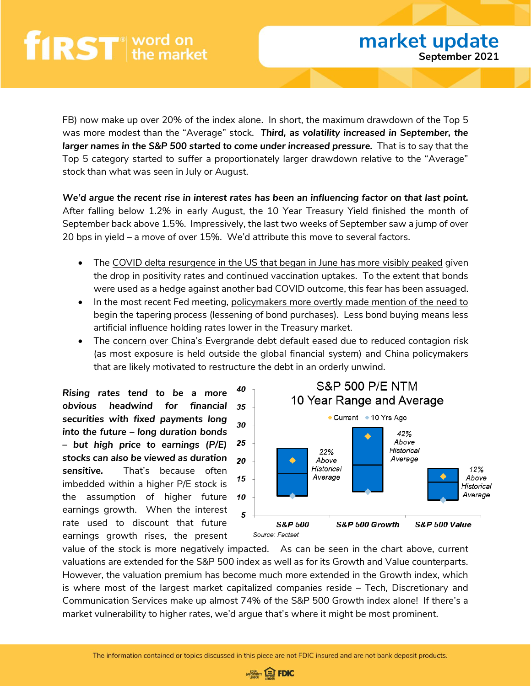FB) now make up over 20% of the index alone. In short, the maximum drawdown of the Top 5 was more modest than the "Average" stock. *Third, as volatility increased in September, the larger names in the S&P 500 started to come under increased pressure.* That is to say that the Top 5 category started to suffer a proportionately larger drawdown relative to the "Average" stock than what was seen in July or August.

*We'd argue the recent rise in interest rates has been an influencing factor on that last point.* After falling below 1.2% in early August, the 10 Year Treasury Yield finished the month of September back above 1.5%. Impressively, the last two weeks of September saw a jump of over 20 bps in yield – a move of over 15%. We'd attribute this move to several factors.

- The COVID delta resurgence in the US that began in June has more visibly peaked given the drop in positivity rates and continued vaccination uptakes. To the extent that bonds were used as a hedge against another bad COVID outcome, this fear has been assuaged.
- In the most recent Fed meeting, policymakers more overtly made mention of the need to begin the tapering process (lessening of bond purchases). Less bond buying means less artificial influence holding rates lower in the Treasury market.
- The concern over China's Evergrande debt default eased due to reduced contagion risk (as most exposure is held outside the global financial system) and China policymakers that are likely motivated to restructure the debt in an orderly unwind.

40 *Rising rates tend to be a more obvious headwind for financial securities with fixed payments long*  30 *into the future – long duration bonds*  25 *– but high price to earnings (P/E) stocks can also be viewed as duration sensitive.* That's because often 15 imbedded within a higher P/E stock is the assumption of higher future 10 earnings growth. When the interest 5 rate used to discount that future earnings growth rises, the present



value of the stock is more negatively impacted. As can be seen in the chart above, current valuations are extended for the S&P 500 index as well as for its Growth and Value counterparts. However, the valuation premium has become much more extended in the Growth index, which is where most of the largest market capitalized companies reside – Tech, Discretionary and Communication Services make up almost 74% of the S&P 500 Growth index alone! If there's a market vulnerability to higher rates, we'd argue that's where it might be most prominent.

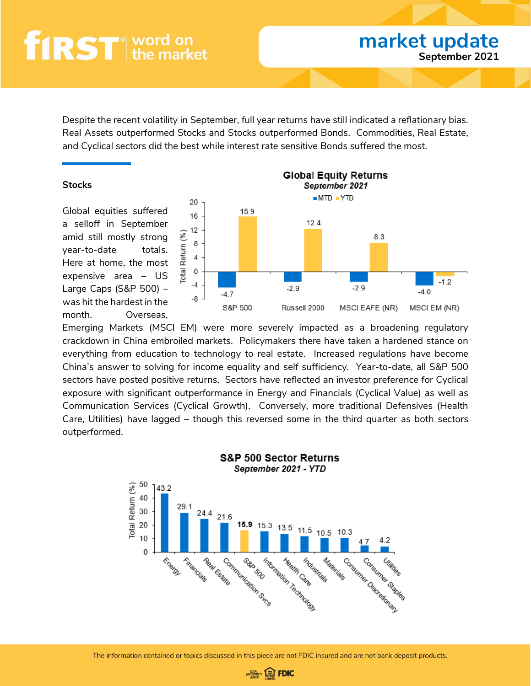Despite the recent volatility in September, full year returns have still indicated a reflationary bias. Real Assets outperformed Stocks and Stocks outperformed Bonds. Commodities, Real Estate, and Cyclical sectors did the best while interest rate sensitive Bonds suffered the most.

#### **Stocks**

Global equities suffered a selloff in September amid still mostly strong year-to-date totals. Here at home, the most expensive area – US Large Caps (S&P 500) – was hit the hardest in the month. Overseas,



**market update**

**September 2021**

Emerging Markets (MSCI EM) were more severely impacted as a broadening regulatory crackdown in China embroiled markets. Policymakers there have taken a hardened stance on everything from education to technology to real estate. Increased regulations have become China's answer to solving for income equality and self sufficiency. Year-to-date, all S&P 500 sectors have posted positive returns. Sectors have reflected an investor preference for Cyclical exposure with significant outperformance in Energy and Financials (Cyclical Value) as well as Communication Services (Cyclical Growth). Conversely, more traditional Defensives (Health Care, Utilities) have lagged – though this reversed some in the third quarter as both sectors outperformed.



The information contained or topics discussed in this piece are not FDIC insured and are not bank deposit products.

**OPPORTUNITY EDFOIC**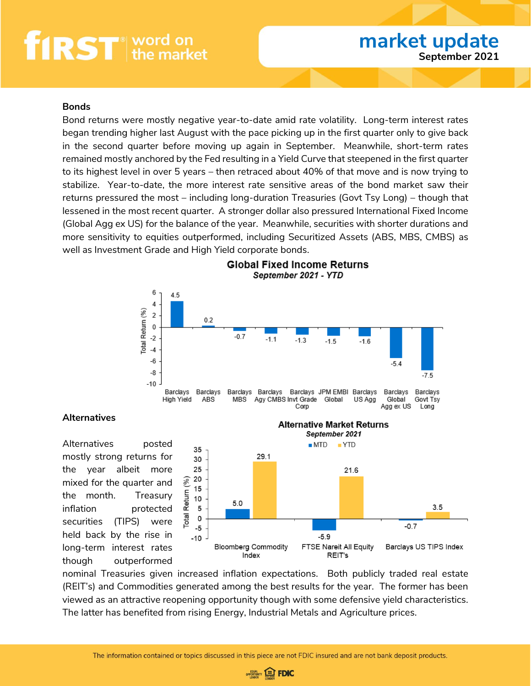#### **Bonds**

Bond returns were mostly negative year-to-date amid rate volatility. Long-term interest rates began trending higher last August with the pace picking up in the first quarter only to give back in the second quarter before moving up again in September. Meanwhile, short-term rates remained mostly anchored by the Fed resulting in a Yield Curve that steepened in the first quarter to its highest level in over 5 years – then retraced about 40% of that move and is now trying to stabilize. Year-to-date, the more interest rate sensitive areas of the bond market saw their returns pressured the most – including long-duration Treasuries (Govt Tsy Long) – though that lessened in the most recent quarter. A stronger dollar also pressured International Fixed Income (Global Agg ex US) for the balance of the year. Meanwhile, securities with shorter durations and more sensitivity to equities outperformed, including Securitized Assets (ABS, MBS, CMBS) as well as Investment Grade and High Yield corporate bonds.



#### **Global Fixed Income Returns** September 2021 - YTD

#### **Alternatives**

Alternatives posted mostly strong returns for the year albeit more mixed for the quarter and the month. Treasury inflation protected securities (TIPS) were held back by the rise in long-term interest rates though outperformed



nominal Treasuries given increased inflation expectations. Both publicly traded real estate (REIT's) and Commodities generated among the best results for the year. The former has been viewed as an attractive reopening opportunity though with some defensive yield characteristics. The latter has benefited from rising Energy, Industrial Metals and Agriculture prices.

![](_page_3_Picture_11.jpeg)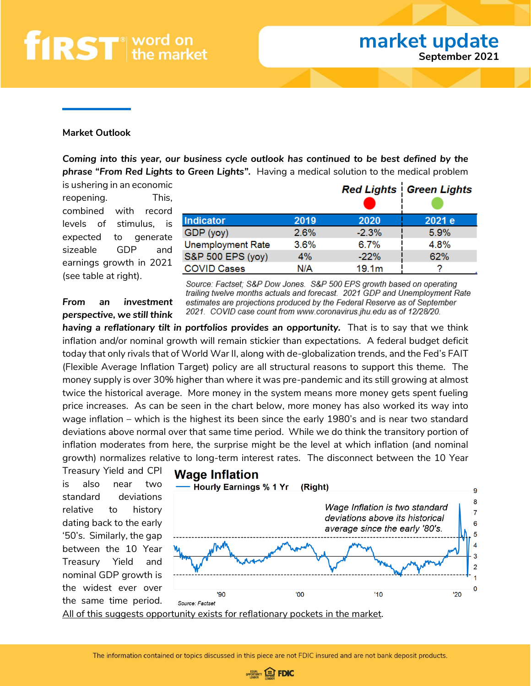#### **Market Outlook**

*Coming into this year, our business cycle outlook has continued to be best defined by the phrase "From Red Lights to Green Lights".* Having a medical solution to the medical problem

is ushering in an economic reopening. This, combined with record levels of stimulus, is expected to generate sizeable GDP and earnings growth in 2021 (see table at right).

|                          |      |                   | <b>Red Lights   Green Lights</b> |
|--------------------------|------|-------------------|----------------------------------|
| <b>Indicator</b>         | 2019 | 2020              | 2021 e                           |
| GDP (yoy)                | 2.6% | $-2.3%$           | 5.9%                             |
| <b>Unemployment Rate</b> | 3.6% | 6.7%              | 4.8%                             |
| S&P 500 EPS (yoy)        | 4%   | $-22%$            | 62%                              |
| <b>COVID Cases</b>       | N/A  | 19.1 <sub>m</sub> |                                  |

*From an investment perspective, we still think*  Source: Factset; S&P Dow Jones. S&P 500 EPS growth based on operating trailing twelve months actuals and forecast. 2021 GDP and Unemployment Rate estimates are projections produced by the Federal Reserve as of September 2021. COVID case count from www.coronavirus.jhu.edu as of 12/28/20.

having a reflationary tilt in portfolios provides an opportunity. That is to say that we think inflation and/or nominal growth will remain stickier than expectations. A federal budget deficit today that only rivals that of World War II, along with de-globalization trends, and the Fed's FAIT (Flexible Average Inflation Target) policy are all structural reasons to support this theme. The money supply is over 30% higher than where it was pre-pandemic and its still growing at almost twice the historical average. More money in the system means more money gets spent fueling price increases. As can be seen in the chart below, more money has also worked its way into wage inflation – which is the highest its been since the early 1980's and is near two standard deviations above normal over that same time period. While we do think the transitory portion of inflation moderates from here, the surprise might be the level at which inflation (and nominal growth) normalizes relative to long-term interest rates. The disconnect between the 10 Year

Treasury Yield and CPI is also near two standard deviations relative to history dating back to the early '50's. Similarly, the gap between the 10 Year Treasury Yield and nominal GDP growth is the widest ever over the same time period.

![](_page_4_Figure_10.jpeg)

![](_page_4_Picture_12.jpeg)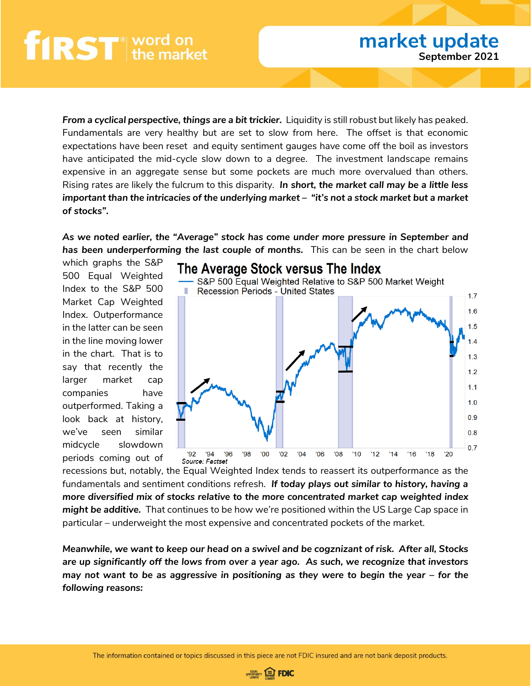*From a cyclical perspective, things are a bit trickier. Liquidity is still robust but likely has peaked.* Fundamentals are very healthy but are set to slow from here. The offset is that economic expectations have been reset and equity sentiment gauges have come off the boil as investors have anticipated the mid-cycle slow down to a degree. The investment landscape remains expensive in an aggregate sense but some pockets are much more overvalued than others. Rising rates are likely the fulcrum to this disparity. *In short, the market call may be a little less important than the intricacies of the underlying market – "it's not a stock market but a market of stocks".* 

*As we noted earlier, the "Average" stock has come under more pressure in September and*  **has been underperforming the last couple of months.** This can be seen in the chart below

which graphs the S&P 500 Equal Weighted Index to the S&P 500 Market Cap Weighted Index. Outperformance in the latter can be seen in the line moving lower in the chart. That is to say that recently the larger market cap companies have outperformed. Taking a look back at history, we've seen similar midcycle slowdown periods coming out of

![](_page_5_Figure_5.jpeg)

recessions but, notably, the Equal Weighted Index tends to reassert its outperformance as the fundamentals and sentiment conditions refresh. *If today plays out similar to history, having a more diversified mix of stocks relative to the more concentrated market cap weighted index might be additive.* That continues to be how we're positioned within the US Large Cap space in particular – underweight the most expensive and concentrated pockets of the market.

*Meanwhile, we want to keep our head on a swivel and be cogznizant of risk. After all, Stocks are up significantly off the lows from over a year ago. As such, we recognize that investors may not want to be as aggressive in positioning as they were to begin the year – for the following reasons:*

![](_page_5_Picture_9.jpeg)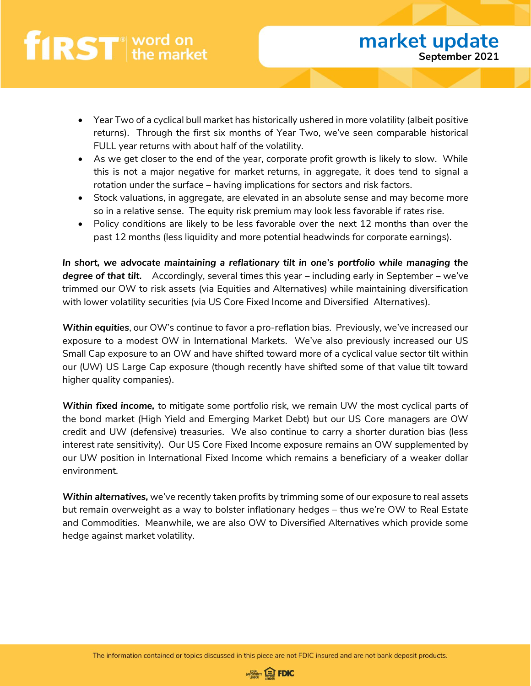- Year Two of a cyclical bull market has historically ushered in more volatility (albeit positive returns). Through the first six months of Year Two, we've seen comparable historical FULL year returns with about half of the volatility.
- As we get closer to the end of the year, corporate profit growth is likely to slow. While this is not a major negative for market returns, in aggregate, it does tend to signal a rotation under the surface – having implications for sectors and risk factors.
- Stock valuations, in aggregate, are elevated in an absolute sense and may become more so in a relative sense. The equity risk premium may look less favorable if rates rise.
- Policy conditions are likely to be less favorable over the next 12 months than over the past 12 months (less liquidity and more potential headwinds for corporate earnings).

*In short, we advocate maintaining a reflationary tilt in one's portfolio while managing the degree of that tilt.* Accordingly, several times this year – including early in September – we've trimmed our OW to risk assets (via Equities and Alternatives) while maintaining diversification with lower volatility securities (via US Core Fixed Income and Diversified Alternatives).

*Within equities*, our OW's continue to favor a pro-reflation bias. Previously, we've increased our exposure to a modest OW in International Markets. We've also previously increased our US Small Cap exposure to an OW and have shifted toward more of a cyclical value sector tilt within our (UW) US Large Cap exposure (though recently have shifted some of that value tilt toward higher quality companies).

*Within fixed income,* to mitigate some portfolio risk, we remain UW the most cyclical parts of the bond market (High Yield and Emerging Market Debt) but our US Core managers are OW credit and UW (defensive) treasuries. We also continue to carry a shorter duration bias (less interest rate sensitivity). Our US Core Fixed Income exposure remains an OW supplemented by our UW position in International Fixed Income which remains a beneficiary of a weaker dollar environment.

*Within alternatives,* we've recently taken profits by trimming some of our exposure to real assets but remain overweight as a way to bolster inflationary hedges – thus we're OW to Real Estate and Commodities. Meanwhile, we are also OW to Diversified Alternatives which provide some hedge against market volatility.

![](_page_6_Picture_11.jpeg)